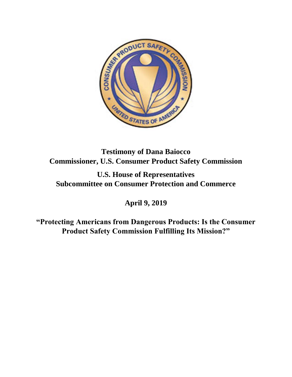

**Testimony of Dana Baiocco Commissioner, U.S. Consumer Product Safety Commission**

**U.S. House of Representatives Subcommittee on Consumer Protection and Commerce**

**April 9, 2019**

**"Protecting Americans from Dangerous Products: Is the Consumer Product Safety Commission Fulfilling Its Mission?"**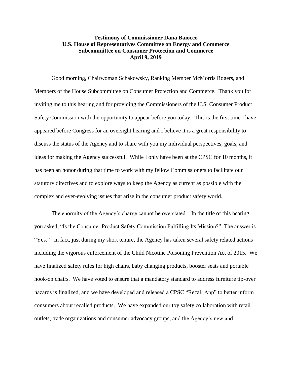## **Testimony of Commissioner Dana Baiocco U.S. House of Representatives Committee on Energy and Commerce Subcommittee on Consumer Protection and Commerce April 9, 2019**

Good morning, Chairwoman Schakowsky, Ranking Member McMorris Rogers, and Members of the House Subcommittee on Consumer Protection and Commerce. Thank you for inviting me to this hearing and for providing the Commissioners of the U.S. Consumer Product Safety Commission with the opportunity to appear before you today. This is the first time I have appeared before Congress for an oversight hearing and I believe it is a great responsibility to discuss the status of the Agency and to share with you my individual perspectives, goals, and ideas for making the Agency successful. While I only have been at the CPSC for 10 months, it has been an honor during that time to work with my fellow Commissioners to facilitate our statutory directives and to explore ways to keep the Agency as current as possible with the complex and ever-evolving issues that arise in the consumer product safety world.

The enormity of the Agency's charge cannot be overstated. In the title of this hearing, you asked, "Is the Consumer Product Safety Commission Fulfilling Its Mission?" The answer is "Yes." In fact, just during my short tenure, the Agency has taken several safety related actions including the vigorous enforcement of the Child Nicotine Poisoning Prevention Act of 2015. We have finalized safety rules for high chairs, baby changing products, booster seats and portable hook-on chairs. We have voted to ensure that a mandatory standard to address furniture tip-over hazards is finalized, and we have developed and released a CPSC "Recall App" to better inform consumers about recalled products. We have expanded our toy safety collaboration with retail outlets, trade organizations and consumer advocacy groups, and the Agency's new and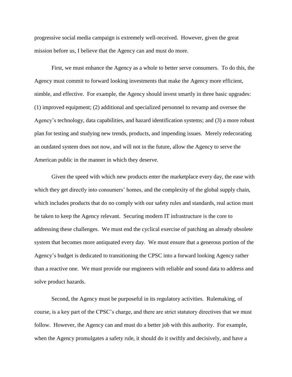progressive social media campaign is extremely well-received. However, given the great mission before us, I believe that the Agency can and must do more.

First, we must enhance the Agency as a whole to better serve consumers. To do this, the Agency must commit to forward looking investments that make the Agency more efficient, nimble, and effective. For example, the Agency should invest smartly in three basic upgrades: (1) improved equipment; (2) additional and specialized personnel to revamp and oversee the Agency's technology, data capabilities, and hazard identification systems; and (3) a more robust plan for testing and studying new trends, products, and impending issues. Merely redecorating an outdated system does not now, and will not in the future, allow the Agency to serve the American public in the manner in which they deserve.

Given the speed with which new products enter the marketplace every day, the ease with which they get directly into consumers' homes, and the complexity of the global supply chain, which includes products that do no comply with our safety rules and standards, real action must be taken to keep the Agency relevant. Securing modern IT infrastructure is the core to addressing these challenges. We must end the cyclical exercise of patching an already obsolete system that becomes more antiquated every day. We must ensure that a generous portion of the Agency's budget is dedicated to transitioning the CPSC into a forward looking Agency rather than a reactive one. We must provide our engineers with reliable and sound data to address and solve product hazards.

Second, the Agency must be purposeful in its regulatory activities. Rulemaking, of course, is a key part of the CPSC's charge, and there are strict statutory directives that we must follow. However, the Agency can and must do a better job with this authority. For example, when the Agency promulgates a safety rule, it should do it swiftly and decisively, and have a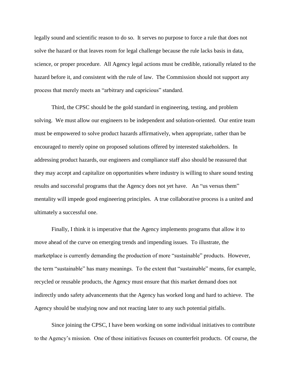legally sound and scientific reason to do so. It serves no purpose to force a rule that does not solve the hazard or that leaves room for legal challenge because the rule lacks basis in data, science, or proper procedure. All Agency legal actions must be credible, rationally related to the hazard before it, and consistent with the rule of law. The Commission should not support any process that merely meets an "arbitrary and capricious" standard.

Third, the CPSC should be the gold standard in engineering, testing, and problem solving. We must allow our engineers to be independent and solution-oriented. Our entire team must be empowered to solve product hazards affirmatively, when appropriate, rather than be encouraged to merely opine on proposed solutions offered by interested stakeholders. In addressing product hazards, our engineers and compliance staff also should be reassured that they may accept and capitalize on opportunities where industry is willing to share sound testing results and successful programs that the Agency does not yet have. An "us versus them" mentality will impede good engineering principles. A true collaborative process is a united and ultimately a successful one.

Finally, I think it is imperative that the Agency implements programs that allow it to move ahead of the curve on emerging trends and impending issues. To illustrate, the marketplace is currently demanding the production of more "sustainable" products. However, the term "sustainable" has many meanings. To the extent that "sustainable" means, for example, recycled or reusable products, the Agency must ensure that this market demand does not indirectly undo safety advancements that the Agency has worked long and hard to achieve. The Agency should be studying now and not reacting later to any such potential pitfalls.

Since joining the CPSC, I have been working on some individual initiatives to contribute to the Agency's mission. One of those initiatives focuses on counterfeit products. Of course, the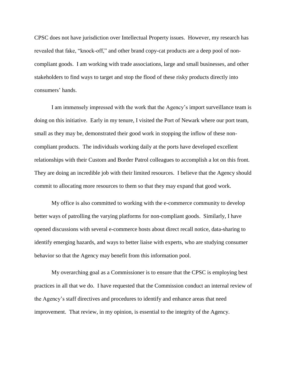CPSC does not have jurisdiction over Intellectual Property issues. However, my research has revealed that fake, "knock-off," and other brand copy-cat products are a deep pool of noncompliant goods. I am working with trade associations, large and small businesses, and other stakeholders to find ways to target and stop the flood of these risky products directly into consumers' hands.

I am immensely impressed with the work that the Agency's import surveillance team is doing on this initiative. Early in my tenure, I visited the Port of Newark where our port team, small as they may be, demonstrated their good work in stopping the inflow of these noncompliant products. The individuals working daily at the ports have developed excellent relationships with their Custom and Border Patrol colleagues to accomplish a lot on this front. They are doing an incredible job with their limited resources. I believe that the Agency should commit to allocating more resources to them so that they may expand that good work.

My office is also committed to working with the e-commerce community to develop better ways of patrolling the varying platforms for non-compliant goods. Similarly, I have opened discussions with several e-commerce hosts about direct recall notice, data-sharing to identify emerging hazards, and ways to better liaise with experts, who are studying consumer behavior so that the Agency may benefit from this information pool.

My overarching goal as a Commissioner is to ensure that the CPSC is employing best practices in all that we do. I have requested that the Commission conduct an internal review of the Agency's staff directives and procedures to identify and enhance areas that need improvement. That review, in my opinion, is essential to the integrity of the Agency.